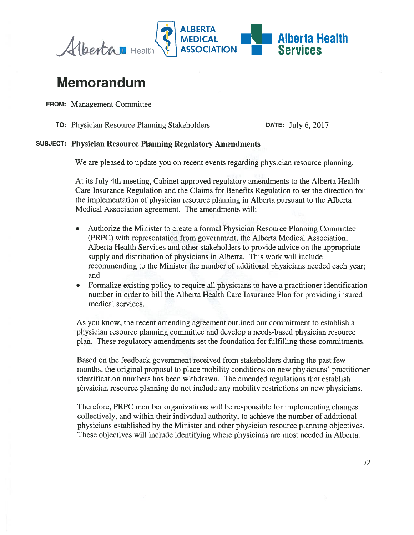

## Memorandum

FROM: Management Committee

TO: Physician Resource Planning Stakeholders DATE: July 6, 2017

## SUBJECT: Physician Resource Planning Regulatory Amendments

We are pleased to update you on recent events regarding physician resource planning.

At its July 4th meeting, Cabinet approved regulatory amendments to the Alberta Health Care Insurance Regulation and the Claims for Benefits Regulation to set the direction for the implementation of physician resource planning in Alberta pursuan<sup>t</sup> to the Alberta Medical Association agreement. The amendments will:

- • Authorize the Minister to create <sup>a</sup> formal Physician Resource Planning Committee (PRPC) with representation from government, the Alberta Medical Association, Alberta Health Services and other stakeholders to provide advice on the appropriate supply and distribution of physicians in Alberta. This work will include recommending to the Minister the number of additional physicians needed each year; and
- • Formalize existing policy to require all physicians to have <sup>a</sup> practitioner identification number in order to bill the Alberta Health Care Insurance Plan for providing insured medical services.

As you know, the recent amending agreemen<sup>t</sup> outlined our commitment to establish <sup>a</sup> physician resource planning committee and develop <sup>a</sup> needs-based physician resource plan. These regulatory amendments set the foundation for fulfilling those commitments.

Based on the feedback governmen<sup>t</sup> received from stakeholders during the pas<sup>t</sup> few months, the original proposal to place mobility conditions on new physicians' practitioner identification numbers has been withdrawn. The amended regulations that establish physician resource planning do not include any mobility restrictions on new physicians.

Therefore, PRPC member organizations will be responsible for implementing changes collectively, and within their individual authority, to achieve the number of additional physicians established by the Minister and other physician resource planning objectives. These objectives will include identifying where physicians are most needed in Alberta.